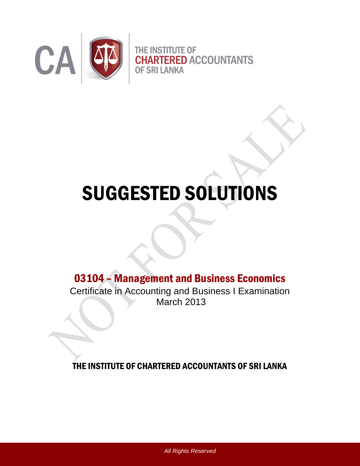

# SUGGESTED SOLUTIONS

## 03104 – Management and Business Economics

Certificate in Accounting and Business I Examination March 2013

THE INSTITUTE OF CHARTERED ACCOUNTANTS OF SRI LANKA

*All Rights Reserved*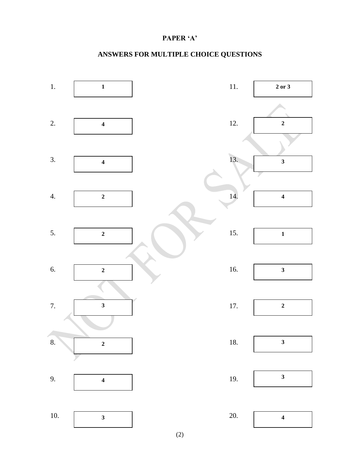#### **PAPER 'A'**

### **ANSWERS FOR MULTIPLE CHOICE QUESTIONS**



(2)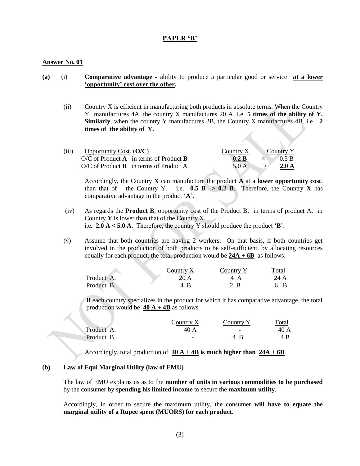#### **PAPER 'B'**

#### **Answer No. 01**

- **(a)** (i) **Comparative advantage -** ability to produce a particular good or service **at a lower 'opportunity' cost over the other.** 
	- (ii) Country X is efficient in manufacturing both products in absolute terms. When the Country Y manufactures 4A, the country X manufactures 20 A. i.e. **5 times of the ability of Y. Similarly**, when the country Y manufactures 2B, the Country X manufactures 4B. i.e **2 times of the ability of Y.**

| (111) | Opportunity Cost. $(O/C)$                              | Country X | Country Y      |
|-------|--------------------------------------------------------|-----------|----------------|
|       | $O/C$ of Product <b>A</b> in terms of Product <b>B</b> | 0.2 B     | $\sqrt{0.5}$ B |
|       | $O/C$ of Product <b>B</b> in terms of Product A        | 5.0 A     | 2.0A           |

Accordingly, the Country **X** can manufacture the product **A** at a **lower opportunity cost**, than that of the Country Y. i.e.  $0.5 \text{ B} > 0.2 \text{ B}$ . Therefore, the Country X has comparative advantage in the product "**A**".

- (iv) As regards the **Product B**, opportunity cost of the Product B, in terms of product A, in Country **Y** is lower than that of the Country X. i.e**. 2.0 A < 5.0 A**. Therefore, the country Y should produce the product "**B**".
- (v) Assume that both countries are having 2 workers. On that basis, if both countries get involved in the production of both products to be self-sufficient, by allocating resources equally for each product, the total production would be **24A + 6B** as follows.

|            | Country ${\rm X}$ | Country | <b>Total</b> |
|------------|-------------------|---------|--------------|
| Product A. | 20 A              |         | 24 A         |
| Product B. |                   | - R     | B            |

If each country specializes in the product for which it has comparative advantage, the total production would be  $40 A + 4B$  as follows

|            | Country X | Country: | Total |
|------------|-----------|----------|-------|
| Product A. | 40 A      | -        | 40 A  |
| Product B. | -         | Δ        |       |

Accordingly, total production of  $40 \text{ A} + 4 \text{ B}$  is much higher than  $24 \text{ A} + 6 \text{ B}$ 

#### **(b) Law of Equi Marginal Utility (law of EMU)**

The law of EMU explains us as to the **number of units in various commodities to be purchased** by the consumer by **spending his limited income** to secure the **maximum utility**.

Accordingly, in order to secure the maximum utility, the consumer **will have to equate the marginal utility of a Rupee spent (MUORS) for each product.**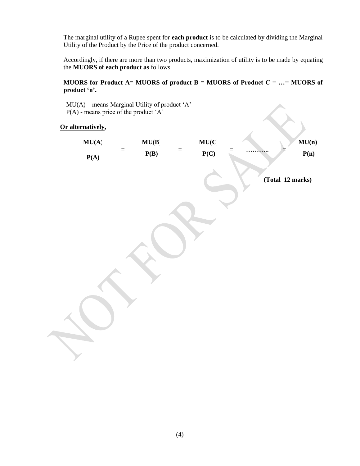The marginal utility of a Rupee spent for **each product** is to be calculated by dividing the Marginal Utility of the Product by the Price of the product concerned.

Accordingly, if there are more than two products, maximization of utility is to be made by equating the **MUORS of each product as** follows.

#### **MUORS for Product A= MUORS of product B = MUORS of Product C = …= MUORS of product 'n'.**

 $MU(A)$  – means Marginal Utility of product 'A'  $P(A)$  - means price of the product 'A'

#### **Or alternatively,**

| $MU(A)$ = incans iviaightal Utility of product $A$<br>$P(A)$ - means price of the product ' $A$ '<br>Or alternatively, |               |                      |     |                  |
|------------------------------------------------------------------------------------------------------------------------|---------------|----------------------|-----|------------------|
| MU(A)<br>$\equiv$<br>P(A)                                                                                              | MU(B)<br>P(B) | MU(C)<br>$=$<br>P(C) | $=$ | MU(n)<br>P(n)    |
|                                                                                                                        |               |                      |     | (Total 12 marks) |
|                                                                                                                        |               |                      |     |                  |
|                                                                                                                        |               |                      |     |                  |
|                                                                                                                        |               |                      |     |                  |
|                                                                                                                        |               |                      |     |                  |
|                                                                                                                        |               |                      |     |                  |
|                                                                                                                        |               |                      |     |                  |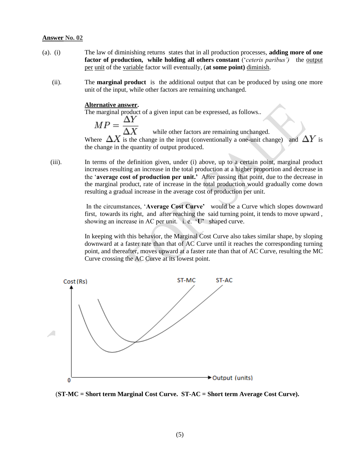- (a). (i) The law of diminishing returns states that in all production processes, **adding more of one factor of production, while holding all others constant** (*ceteris paribus'*) the [output](http://www.investorguide.com/definition/output.html) [per](http://www.investorguide.com/definition/per.html) [unit](http://www.businessdictionary.com/definition/unit.html) of the [variable](http://www.businessdictionary.com/definition/variable.html) factor will eventually, (**at some point)** [diminish.](http://www.investorguide.com/definition/diminish.html)
	- (ii). The **marginal product** is the additional output that can be produced by using one more unit of the input, while other factors are remaining unchanged.

#### **Alternative answer.**

The marginal product of a given input can be expressed, as follows..<br>  $MP = \frac{\Delta Y}{\Delta X}$  while other factors are remaining unchang

while other factors are remaining unchanged.

Where  $\Delta X$  is the change in the input (conventionally a one-unit change) and  $\Delta Y$  is the change in the quantity of output produced.

 (iii). In terms of the definition given, under (i) above, up to a certain point, marginal product increases resulting an increase in the total production at a higher proportion and decrease in the "**average cost of production per unit.'** After passing that point, due to the decrease in the marginal product, rate of increase in the total production would gradually come down resulting a gradual increase in the average cost of production per unit.

> In the circumstances, "**Average Cost Curve'** would be a Curve which slopes downward first, towards its right, and after reaching the said turning point, it tends to move upward , showing an increase in AC per unit. i. e. "**U'** shaped curve.

> In keeping with this behavior, the Marginal Cost Curve also takes similar shape, by sloping downward at a faster rate than that of AC Curve until it reaches the corresponding turning point, and thereafter, moves upward at a faster rate than that of AC Curve, resulting the MC Curve crossing the AC Curve at its lowest point.



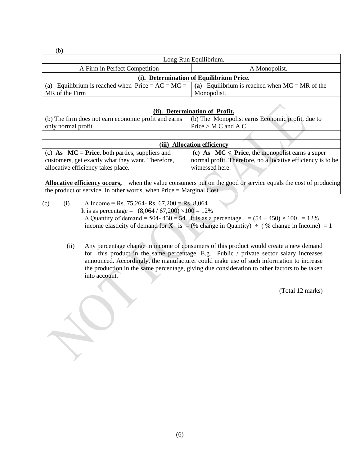(b).

| Long-Run Equilibrium.                                |                                                                                                       |  |
|------------------------------------------------------|-------------------------------------------------------------------------------------------------------|--|
| A Firm in Perfect Competition                        | A Monopolist.                                                                                         |  |
| (i). Determination of Equilibrium Price.             |                                                                                                       |  |
| (a) Equilibrium is reached when $Price = AC = MC =$  | (a) Equilibrium is reached when $MC = MR$ of the                                                      |  |
| MR of the Firm                                       | Monopolist.                                                                                           |  |
|                                                      |                                                                                                       |  |
| (ii). Determination of Profit.                       |                                                                                                       |  |
| (b) The firm does not earn economic profit and earns | (b) The Monopolist earns Economic profit, due to                                                      |  |
| only normal profit.                                  | Price $> M C$ and A C                                                                                 |  |
|                                                      |                                                                                                       |  |
| (iii) Allocation efficiency                          |                                                                                                       |  |
| (c) As $MC = Price$ , both parties, suppliers and    | (c) As $MC <$ Price, the monopolist earns a super                                                     |  |
| customers, get exactly what they want. Therefore,    | normal profit. Therefore, no allocative efficiency is to be                                           |  |
| allocative efficiency takes place.                   | witnessed here.                                                                                       |  |
|                                                      | $\mathcal{L}$ and $\mathcal{L}$ are the subset of the second set of second states of second states to |  |

**Allocative efficiency occurs,** when the value consumers put on the good or service equals the cost of producing the product or service. In other words, when Price = Marginal Cost.

- (c) (i)  $\Delta$  Income = Rs. 75,264- Rs. 67,200 = Rs. 8,064 It is as percentage =  $(8,064 / 67,200) \times 100 = 12\%$  $\Delta$  Quantity of demand = 504- 450 = 54. It is as a percentage =  $(54 \div 450) \times 100 = 12\%$ income elasticity of demand for X is = (% change in Quantity)  $\div$  (% change in Income) = 1
	- (ii) Any percentage change in income of consumers of this product would create a new demand for this product in the same percentage. E.g. Public / private sector salary increases announced. Accordingly, the manufacturer could make use of such information to increase the production in the same percentage, giving due consideration to other factors to be taken into account.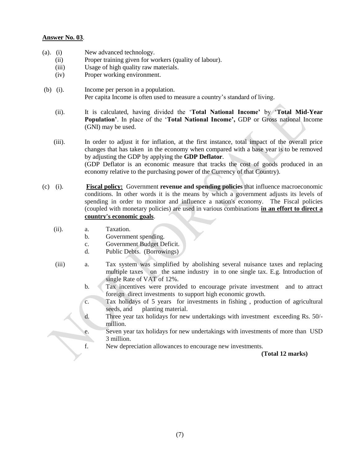#### **Answer No. 03**.

- (a). (i) New advanced technology.
	- (ii) Proper training given for workers (quality of labour).
	- (iii) Usage of high quality raw materials.
	- (iv) Proper working environment.
- (b) (i). Income per person in a population. Per capita Income is often used to measure a country"s standard of living.
	- (ii). It is calculated, having divided the "**Total National Income'** by "**Total Mid-Year Population'**. In place of the "**Total National Income',** GDP or Gross national Income (GNI) may be used.
	- (iii). In order to adjust it for inflation, at the first instance, total impact of the overall price changes that has taken in the economy when compared with a base year is to be removed by adjusting the GDP by applying the **GDP Deflator**. (GDP Deflator is an economic measure that tracks the cost of goods produced in an economy relative to the purchasing power of the Currency of that Country).
- (c) (i). **Fiscal policy:** Government **revenue and spending policies** that influence macroeconomic conditions. In other words it is the means by which a government adjusts its levels of spending in order to monitor and influence a nation's economy. The Fiscal policies (coupled with monetary policies) are used in various combinations **in an effort to direct a country's economic goals**.
	- (ii). a. Taxation.
		- b. Government spending.
		- c. Government Budget Deficit.
		- d. Public Debts. (Borrowings)
	- (iii) a. Tax system was simplified by abolishing several nuisance taxes and replacing multiple taxes on the same industry in to one single tax. E.g. Introduction of single Rate of VAT of 12%.
		- b. Tax incentives were provided to encourage private investment and to attract foreign direct investments to support high economic growth.
		- c. Tax holidays of 5 years for investments in fishing , production of agricultural seeds, and planting material.
		- d. Three year tax holidays for new undertakings with investment exceeding Rs. 50/ million.
		- e. Seven year tax holidays for new undertakings with investments of more than USD 3 million.
		- f. New depreciation allowances to encourage new investments.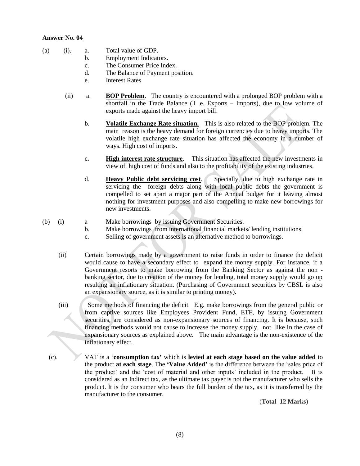- (a) (i). a. Total value of GDP.
	- b. Employment Indicators.
	- c. The Consumer Price Index.
	- d. The Balance of Payment position.
	- e. Interest Rates
	- (ii) a. **BOP Problem**. The country is encountered with a prolonged BOP problem with a shortfall in the Trade Balance (.i .e. Exports – Imports), due to low volume of exports made against the heavy import bill.
		- b. **Volatile Exchange Rate situation.** This is also related to the BOP problem. The main reason is the heavy demand for foreign currencies due to heavy imports. The volatile high exchange rate situation has affected the economy in a number of ways. High cost of imports.
		- c. **High interest rate structure**. This situation has affected the new investments in view of high cost of funds and also to the profitability of the existing industries.
		- d. **Heavy Public debt servicing cost**. Specially, due to high exchange rate in servicing the foreign debts along with local public debts the government is compelled to set apart a major part of the Annual budget for it leaving almost nothing for investment purposes and also compelling to make new borrowings for new investments.
- (b) (i) a Make borrowings by issuing Government Securities.
	- b. Make borrowings from international financial markets/ lending institutions.
		- c. Selling of government assets is an alternative method to borrowings.
	- (ii) Certain borrowings made by a government to raise funds in order to finance the deficit would cause to have a secondary effect to expand the money supply. For instance, if a Government resorts to make borrowing from the Banking Sector as against the non banking sector, due to creation of the money for lending, total money supply would go up resulting an inflationary situation. (Purchasing of Government securities by CBSL is also an expansionary source, as it is similar to printing money).
	- (iii) Some methods of financing the deficit E.g. make borrowings from the general public or from captive sources like Employees Provident Fund, ETF, by issuing Government securities, are considered as non-expansionary sources of financing. It is because, such financing methods would not cause to increase the money supply, not like in the case of expansionary sources as explained above. The main advantage is the non-existence of the inflationary effect.
	- (c). VAT is a "**consumption tax'** which is **levied at each stage based on the value added** to the product **at each stage**. The **'Value Added'** is the difference between the "sales price of the product" and the "cost of material and other inputs" included in the product. It is considered as an Indirect tax, as the ultimate tax payer is not the manufacturer who sells the product. It is the consumer who bears the full burden of the tax, as it is transferred by the manufacturer to the consumer.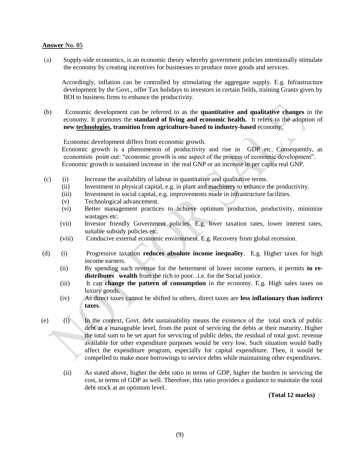(a) Supply-side economics, is an economic theory whereby government policies intentionally stimulate the economy by creating incentives for businesses to produce more goods and services.

 Accordingly, inflation can be controlled by stimulating the aggregate supply. E.g. Infrastructure development by the Govt., offer Tax holidays to investors in certain fields, training Grants given by BOI to business firms to enhance the productivity.

(b) Economic development can be referred to as the **quantitative and qualitative changes** in the economy. It promotes the **standard of living and economic health.** It refers to the adoption of **new [technologies,](http://www.investorwords.com/17790/technology.html) transition from agriculture-based to industry-based** economy.

Economic development differs from economic growth.

 Economic growth is a phenomenon of productivity and rise in GDP etc. Consequently, as economists point out: "economic growth is one aspect of the process of economic development". Economic growth is sustained increase in the real GNP or an increase in per capita real GNP.

- (c) (i) Increase the availability of labour in quantitative and qualitative terms.
	- (ii) Investment in physical capital, e.g. in plant and machinery to enhance the productivity.
	- (iii) Investment in social capital, e.g. improvements made in infrastructure facilities.
	- (v) Technological advancement.
	- (vi) Better management practices to achieve optimum production, productivity, minimize wastages etc.
	- (vii) Investor friendly Government policies. E.g. lover taxation rates, lower interest rates, suitable subsidy policies etc.
	- (viii) Conducive external economic environment. E.g. Recovery from global recession.
- (d) (i) Progressive taxation **reduces absolute income inequality**. E.g. Higher taxes for high income earners.
	- (ii) By spending such revenue for the betterment of lower income earners, it permits **to redistributes wealth** from the rich to poor. .i.e. for the Social justice.
	- (iii) It can **change the pattern of consumption** in the economy. E.g. High sales taxes on luxury goods.
	- (iv) As direct taxes cannot be shifted to others, direct taxes are **less inflationary than indirect taxes**.
- (e) (i) In the context, Govt. debt sustainability means the existence of the total stock of public debt at a manageable level, from the point of servicing the debts at their maturity. Higher the total sum to be set apart for servicing of public debts, the residual of total govt. revenue available for other expenditure purposes would be very low. Such situation would badly affect the expenditure program, especially for capital expenditure. Then, it would be compelled to make more borrowings to service debts while maintaining other expenditures.
	- (ii) As stated above, higher the debt ratio in terms of GDP, higher the burden in servicing the cost, in terms of GDP as well. Therefore, this ratio provides a guidance to maintain the total debt stock at an optimum level.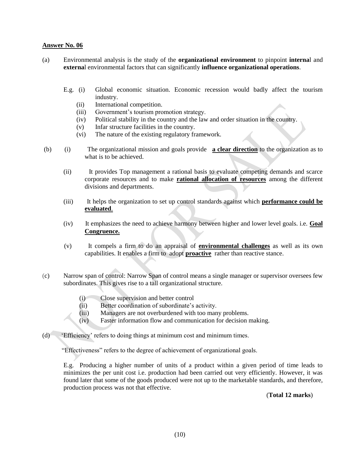- (a) Environmental analysis is the study of the **organizational environment** to pinpoint **interna**l and **externa**l environmental factors that can significantly **influence organizational operations**.
	- E.g. (i) Global economic situation. Economic recession would badly affect the tourism industry.
		- (ii) International competition.
		- (iii) Government"s tourism promotion strategy.
		- (iv) Political stability in the country and the law and order situation in the country.
		- (v) Infar structure facilities in the country.
		- (vi) The nature of the existing regulatory framework.
- (b) (i) The organizational mission and goals provide **a clear direction** to the organization as to what is to be achieved.
	- (ii) It provides Top management a rational basis to evaluate competing demands and scarce corporate resources and to make **rational allocation of resources** among the different divisions and departments.
	- (iii) It helps the organization to set up control standards against which **performance could be evaluated**.
	- (iv) It emphasizes the need to achieve harmony between higher and lower level goals. i.e. **Goal Congruence.**
	- (v) It compels a firm to do an appraisal of **environmental challenges** as well as its own capabilities. It enables a firm to adopt **proactive** rather than reactive stance.
- (c) Narrow span of control: Narrow Span of control means a single manager or supervisor oversees few subordinates. This gives rise to a tall organizational structure.
	- (i) Close supervision and better control
	- (ii) Better coordination of subordinate's activity.
	- (iii) Managers are not overburdened with too many problems.
	- (iv) Faster information flow and communication for decision making.
- (d) "Efficiency" refers to doing things at minimum cost and minimum times.

"Effectiveness" refers to the degree of achievement of organizational goals.

E.g. Producing a higher number of units of a product within a given period of time leads to minimizes the per unit cost i.e. production had been carried out very efficiently. However, it was found later that some of the goods produced were not up to the marketable standards, and therefore, production process was not that effective.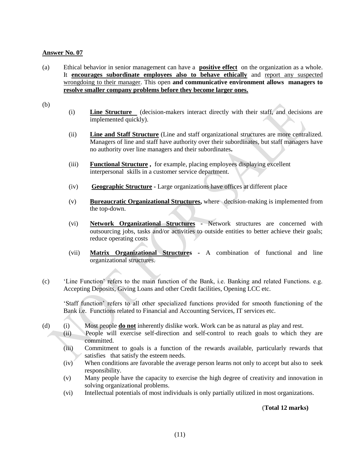(a) Ethical behavior in senior management can have a **positive effect** on the organization as a whole. It **encourages subordinate employees also to behave ethically** and report any suspected wrongdoing to their manager. This open **and communicative environment allows managers to resolve smaller company problems before they become larger ones.** 

(b)

- (i) **Line Structure** (decision-makers interact directly with their staff, and decisions are implemented quickly).
- (ii) **Line and Staff Structure** (Line and staff organizational structures are more centralized. Managers of line and staff have authority over their subordinates, but staff managers have no authority over line managers and their subordinates**.**
- (iii) **Functional Structure ,** for example, placing employees displaying excellent interpersonal skills in a customer service department.
- (iv) **Geographic Structure -** Large organizations have offices at different place
- (v) **Bureaucratic Organizational Structures,** where decision-making is implemented from the top-down.
- (vi) **Network Organizational Structures -** Network structures are concerned with outsourcing jobs, tasks and/or activities to outside entities to better achieve their goals; reduce operating costs
- (vii) **Matrix Organizational Structures -** A combination of functional and line organizational structures.
- (c) "Line Function" refers to the main function of the Bank, i.e. Banking and related Functions. e.g. Accepting Deposits, Giving Loans and other Credit facilities, Opening LCC etc.

"Staff function" refers to all other specialized functions provided for smooth functioning of the Bank i.e. Functions related to Financial and Accounting Services, IT services etc.

- (d) (i) Most people **do not** inherently dislike work. Work can be as natural as play and rest.
	- (ii) People will exercise self-direction and self-control to reach goals to which they are committed.
	- (iii) Commitment to goals is a function of the rewards available, particularly rewards that satisfies that satisfy the esteem needs.
	- (iv) When conditions are favorable the average person learns not only to accept but also to seek responsibility.
	- (v) Many people have the capacity to exercise the high degree of creativity and innovation in solving organizational problems.
	- (vi) Intellectual potentials of most individuals is only partially utilized in most organizations.